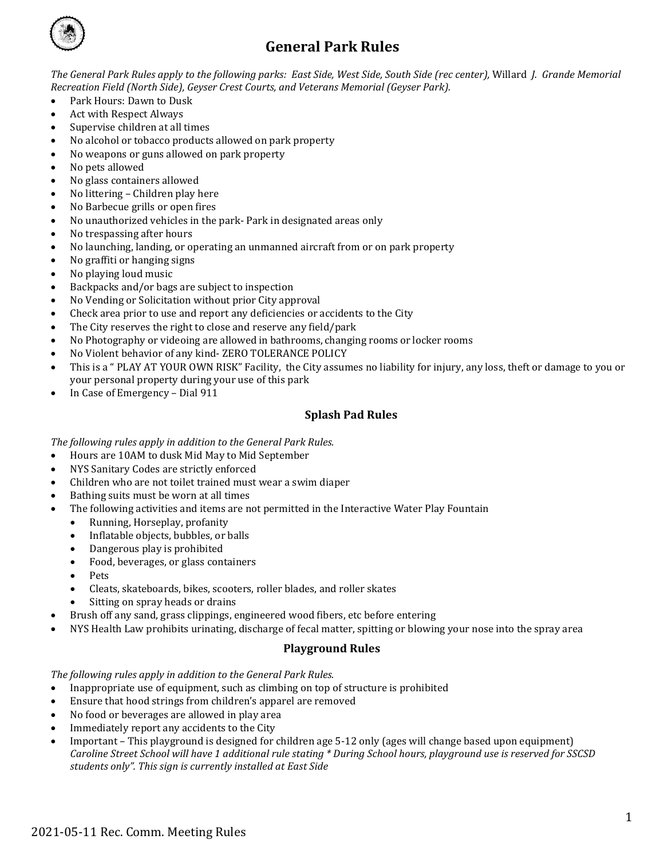

# **General Park Rules**

*The General Park Rules apply to the following parks: East Side, West Side, South Side (rec center),* Willard *J. Grande Memorial Recreation Field (North Side), Geyser Crest Courts, and Veterans Memorial (Geyser Park).*

- Park Hours: Dawn to Dusk<br>• Act with Respect Always
- Act with Respect Always
- Supervise children at all times
- No alcohol or tobacco products allowed on park property
- No weapons or guns allowed on park property
- No pets allowed
- No glass containers allowed
- No littering Children play here
- No Barbecue grills or open fires
- No unauthorized vehicles in the park- Park in designated areas only
- No trespassing after hours
- No launching, landing, or operating an unmanned aircraft from or on park property<br>• No graffiti or hanging signs
- No graffiti or hanging signs
- No playing loud music
- Backpacks and/or bags are subject to inspection
- No Vending or Solicitation without prior City approval
- Check area prior to use and report any deficiencies or accidents to the City
- The City reserves the right to close and reserve any field/park
- No Photography or videoing are allowed in bathrooms, changing rooms or locker rooms
- No Violent behavior of any kind- ZERO TOLERANCE POLICY
- This is a " PLAY AT YOUR OWN RISK" Facility, the City assumes no liability for injury, any loss, theft or damage to you or your personal property during your use of this park
- In Case of Emergency Dial 911

## **Splash Pad Rules**

*The following rules apply in addition to the General Park Rules.*

- Hours are 10AM to dusk Mid May to Mid September
- NYS Sanitary Codes are strictly enforced
- Children who are not toilet trained must wear a swim diaper
- Bathing suits must be worn at all times
- The following activities and items are not permitted in the Interactive Water Play Fountain
	- Running, Horseplay, profanity<br>• Inflatable objects, bubbles, or l
	- Inflatable objects, bubbles, or balls
	- Dangerous play is prohibited<br>• Food, beverages, or glass cont
	- Food, beverages, or glass containers
	- Pets
	- Cleats, skateboards, bikes, scooters, roller blades, and roller skates
	- Sitting on spray heads or drains
- Brush off any sand, grass clippings, engineered wood fibers, etc before entering
- NYS Health Law prohibits urinating, discharge of fecal matter, spitting or blowing your nose into the spray area

## **Playground Rules**

*The following rules apply in addition to the General Park Rules.*

- Inappropriate use of equipment, such as climbing on top of structure is prohibited
- Ensure that hood strings from children's apparel are removed
- No food or beverages are allowed in play area
- Immediately report any accidents to the City
- Important This playground is designed for children age 5-12 only (ages will change based upon equipment) *Caroline Street School will have 1 additional rule stating \* During School hours, playground use is reserved for SSCSD students only". This sign is currently installed at East Side*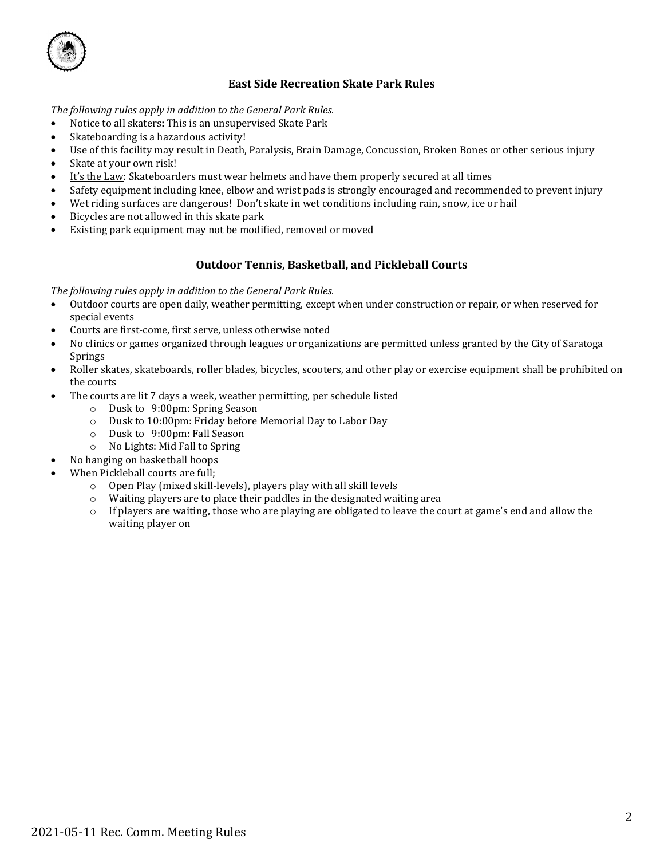

## **East Side Recreation Skate Park Rules**

*The following rules apply in addition to the General Park Rules.*

- Notice to all skaters**:** This is an unsupervised Skate Park
- Skateboarding is a hazardous activity!
- Use of this facility may result in Death, Paralysis, Brain Damage, Concussion, Broken Bones or other serious injury
- Skate at your own risk!
- It's the Law: Skateboarders must wear helmets and have them properly secured at all times
- Safety equipment including knee, elbow and wrist pads is strongly encouraged and recommended to prevent injury
- Wet riding surfaces are dangerous! Don't skate in wet conditions including rain, snow, ice or hail
- Bicycles are not allowed in this skate park
- Existing park equipment may not be modified, removed or moved

## **Outdoor Tennis, Basketball, and Pickleball Courts**

*The following rules apply in addition to the General Park Rules.*

- Outdoor courts are open daily, weather permitting, except when under construction or repair, or when reserved for special events
- Courts are first-come, first serve, unless otherwise noted
- No clinics or games organized through leagues or organizations are permitted unless granted by the City of Saratoga Springs
- Roller skates, skateboards, roller blades, bicycles, scooters, and other play or exercise equipment shall be prohibited on the courts
- The courts are lit 7 days a week, weather permitting, per schedule listed
	- o Dusk to 9:00pm: Spring Season
	- o Dusk to 10:00pm: Friday before Memorial Day to Labor Day
	- o Dusk to 9:00pm: Fall Season
	- o No Lights: Mid Fall to Spring
	- No hanging on basketball hoops
- When Pickleball courts are full:
	- o Open Play (mixed skill-levels), players play with all skill levels
	- o Waiting players are to place their paddles in the designated waiting area
	- o If players are waiting, those who are playing are obligated to leave the court at game's end and allow the waiting player on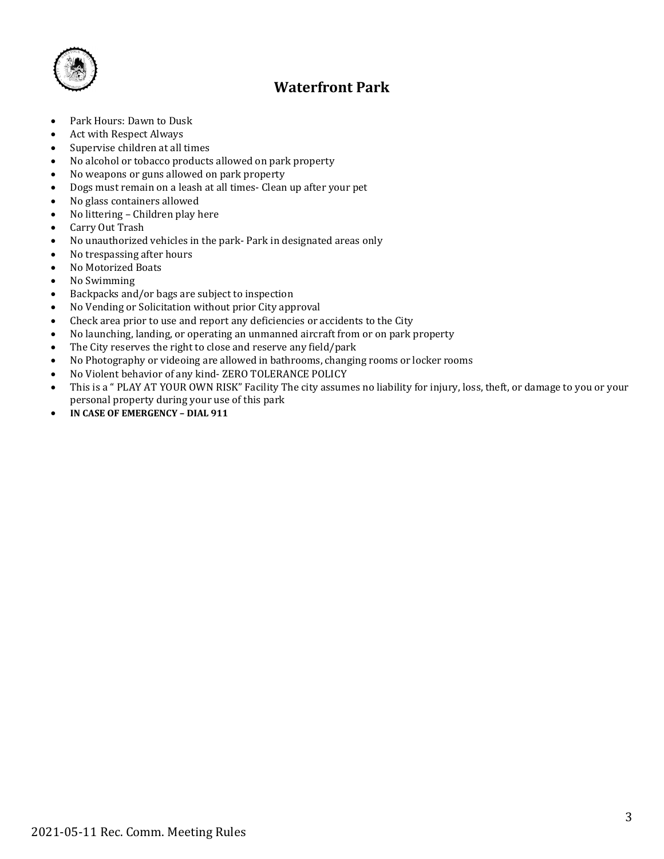

# **Waterfront Park**

- Park Hours: Dawn to Dusk
- Act with Respect Always<br>• Supervise children at all
- Supervise children at all times<br>• No alcohol or tobacco products
- No alcohol or tobacco products allowed on park property
- No weapons or guns allowed on park property
- Dogs must remain on a leash at all times- Clean up after your pet
- No glass containers allowed<br>• No littering Children play h
- No littering Children play here
- Carry Out Trash
- No unauthorized vehicles in the park- Park in designated areas only
- No trespassing after hours<br>• No Motorized Boats
- No Motorized Boats
- No Swimming
- Backpacks and/or bags are subject to inspection
- No Vending or Solicitation without prior City approval<br>• Check area prior to use and report any deficiencies or a
- Check area prior to use and report any deficiencies or accidents to the City
- No launching, landing, or operating an unmanned aircraft from or on park property<br>• The City reserves the right to close and reserve any field/park
- The City reserves the right to close and reserve any field/park
- No Photography or videoing are allowed in bathrooms, changing rooms or locker rooms
- No Violent behavior of any kind- ZERO TOLERANCE POLICY<br>• This is a "PLAY AT YOUR OWN RISK" Facility The city assum
- This is a " PLAY AT YOUR OWN RISK" Facility The city assumes no liability for injury, loss, theft, or damage to you or your personal property during your use of this park
- **IN CASE OF EMERGENCY – DIAL 911**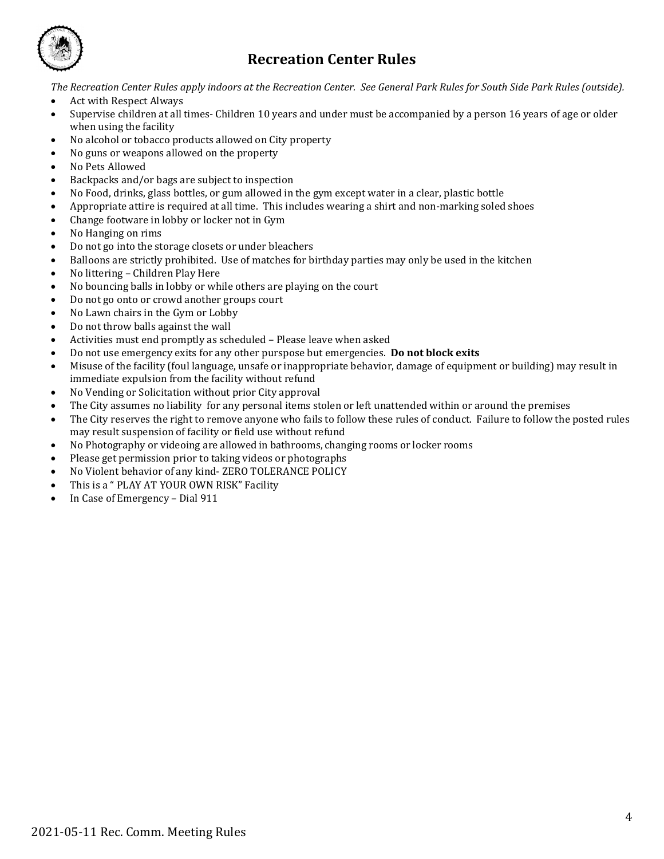

# **Recreation Center Rules**

*The Recreation Center Rules apply indoors at the Recreation Center. See General Park Rules for South Side Park Rules (outside).*

- Act with Respect Always
- Supervise children at all times- Children 10 years and under must be accompanied by a person 16 years of age or older when using the facility
- No alcohol or tobacco products allowed on City property
- No guns or weapons allowed on the property
- No Pets Allowed
- Backpacks and/or bags are subject to inspection
- No Food, drinks, glass bottles, or gum allowed in the gym except water in a clear, plastic bottle
- Appropriate attire is required at all time. This includes wearing a shirt and non-marking soled shoes
- Change footware in lobby or locker not in Gym
- No Hanging on rims
- Do not go into the storage closets or under bleachers
- Balloons are strictly prohibited. Use of matches for birthday parties may only be used in the kitchen
- No littering Children Play Here
- No bouncing balls in lobby or while others are playing on the court
- Do not go onto or crowd another groups court
- No Lawn chairs in the Gym or Lobby
- Do not throw balls against the wall
- Activities must end promptly as scheduled Please leave when asked
- Do not use emergency exits for any other purspose but emergencies. **Do not block exits**
- Misuse of the facility (foul language, unsafe or inappropriate behavior, damage of equipment or building) may result in immediate expulsion from the facility without refund
- No Vending or Solicitation without prior City approval
- The City assumes no liability for any personal items stolen or left unattended within or around the premises
- The City reserves the right to remove anyone who fails to follow these rules of conduct. Failure to follow the posted rules may result suspension of facility or field use without refund
- No Photography or videoing are allowed in bathrooms, changing rooms or locker rooms
- Please get permission prior to taking videos or photographs
- No Violent behavior of any kind- ZERO TOLERANCE POLICY
- This is a " PLAY AT YOUR OWN RISK" Facility
- In Case of Emergency Dial 911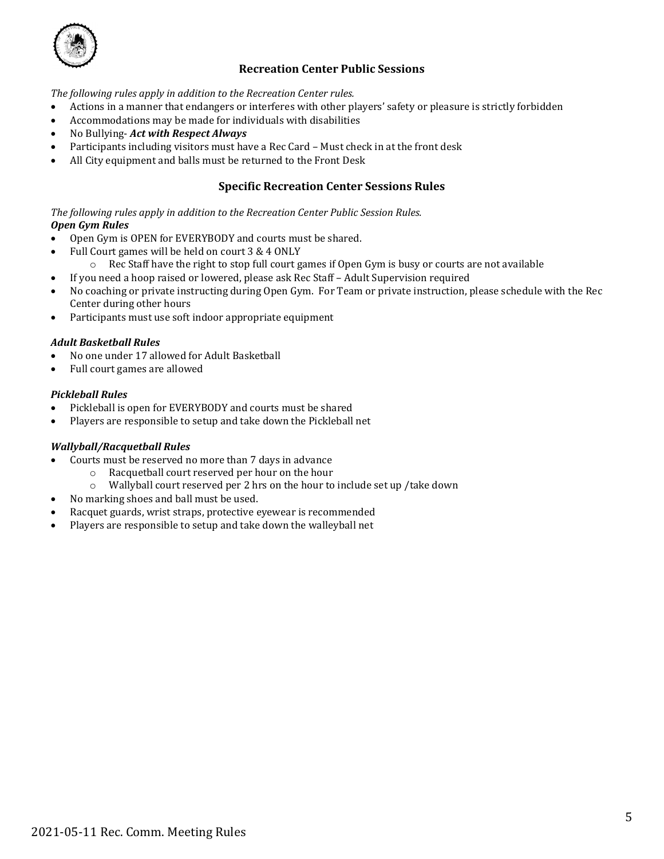

# **Recreation Center Public Sessions**

*The following rules apply in addition to the Recreation Center rules.*

- Actions in a manner that endangers or interferes with other players' safety or pleasure is strictly forbidden
- Accommodations may be made for individuals with disabilities
- No Bullying- *Act with Respect Always*
- Participants including visitors must have a Rec Card Must check in at the front desk
- All City equipment and balls must be returned to the Front Desk

## **Specific Recreation Center Sessions Rules**

*The following rules apply in addition to the Recreation Center Public Session Rules.*

## *Open Gym Rules*

- Open Gym is OPEN for EVERYBODY and courts must be shared.
- Full Court games will be held on court 3 & 4 ONLY
- $\circ$  Rec Staff have the right to stop full court games if Open Gym is busy or courts are not available
- If you need a hoop raised or lowered, please ask Rec Staff Adult Supervision required
- No coaching or private instructing during Open Gym. For Team or private instruction, please schedule with the Rec Center during other hours
- Participants must use soft indoor appropriate equipment

#### *Adult Basketball Rules*

- No one under 17 allowed for Adult Basketball
- Full court games are allowed

#### *Pickleball Rules*

- Pickleball is open for EVERYBODY and courts must be shared
- Players are responsible to setup and take down the Pickleball net

#### *Wallyball/Racquetball Rules*

- Courts must be reserved no more than 7 days in advance<br>  **Racquetball court reserved per hour on the hour** 
	- $\circ$  Racquetball court reserved per hour on the hour  $\circ$  Wallyball court reserved per 2 hrs on the hour to
		- Wallyball court reserved per 2 hrs on the hour to include set up /take down
- No marking shoes and ball must be used.
- Racquet guards, wrist straps, protective eyewear is recommended
- Players are responsible to setup and take down the walleyball net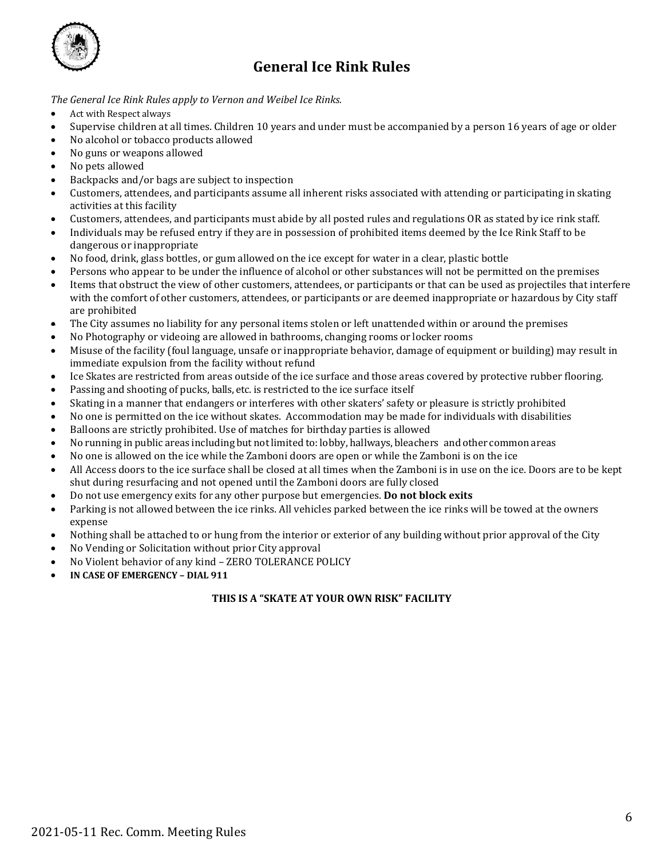

# **General Ice Rink Rules**

*The General Ice Rink Rules apply to Vernon and Weibel Ice Rinks.*

- Act with Respect always
- Supervise children at all times. Children 10 years and under must be accompanied by a person 16 years of age or older
- No alcohol or tobacco products allowed
- No guns or weapons allowed
- No pets allowed
- Backpacks and/or bags are subject to inspection
- Customers, attendees, and participants assume all inherent risks associated with attending or participating in skating activities at this facility
- Customers, attendees, and participants must abide by all posted rules and regulations OR as stated by ice rink staff.
- Individuals may be refused entry if they are in possession of prohibited items deemed by the Ice Rink Staff to be dangerous or inappropriate
- No food, drink, glass bottles, or gum allowed on the ice except for water in a clear, plastic bottle
- Persons who appear to be under the influence of alcohol or other substances will not be permitted on the premises
- Items that obstruct the view of other customers, attendees, or participants or that can be used as projectiles that interfere with the comfort of other customers, attendees, or participants or are deemed inappropriate or hazardous by City staff are prohibited
- The City assumes no liability for any personal items stolen or left unattended within or around the premises
- No Photography or videoing are allowed in bathrooms, changing rooms or locker rooms
- Misuse of the facility (foul language, unsafe or inappropriate behavior, damage of equipment or building) may result in immediate expulsion from the facility without refund
- Ice Skates are restricted from areas outside of the ice surface and those areas covered by protective rubber flooring.
- Passing and shooting of pucks, balls, etc. is restricted to the ice surface itself
- Skating in a manner that endangers or interferes with other skaters' safety or pleasure is strictly prohibited
- No one is permitted on the ice without skates. Accommodation may be made for individuals with disabilities
- Balloons are strictly prohibited. Use of matches for birthday parties is allowed
- No running in public areas including but not limited to: lobby, hallways, bleachers and other common areas
- No one is allowed on the ice while the Zamboni doors are open or while the Zamboni is on the ice
- All Access doors to the ice surface shall be closed at all times when the Zamboni is in use on the ice. Doors are to be kept shut during resurfacing and not opened until the Zamboni doors are fully closed
- Do not use emergency exits for any other purpose but emergencies. **Do not block exits**
- Parking is not allowed between the ice rinks. All vehicles parked between the ice rinks will be towed at the owners expense
- Nothing shall be attached to or hung from the interior or exterior of any building without prior approval of the City
- No Vending or Solicitation without prior City approval
- No Violent behavior of any kind ZERO TOLERANCE POLICY
- **IN CASE OF EMERGENCY – DIAL 911**

## **THIS IS A "SKATE AT YOUR OWN RISK" FACILITY**